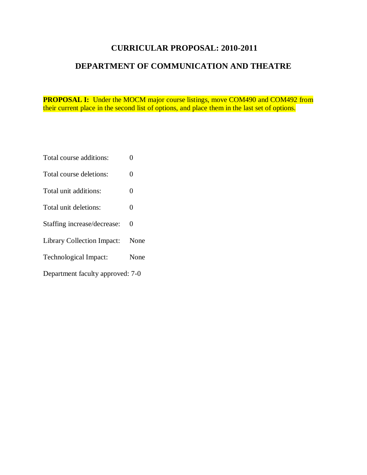# **CURRICULAR PROPOSAL: 2010-2011**

# **DEPARTMENT OF COMMUNICATION AND THEATRE**

**PROPOSAL I:** Under the MOCM major course listings, move COM490 and COM492 from their current place in the second list of options, and place them in the last set of options.

- Total course additions: 0
- Total course deletions: 0
- Total unit additions: 0
- Total unit deletions: 0
- Staffing increase/decrease: 0
- Library Collection Impact: None
- Technological Impact: None
- Department faculty approved: 7-0